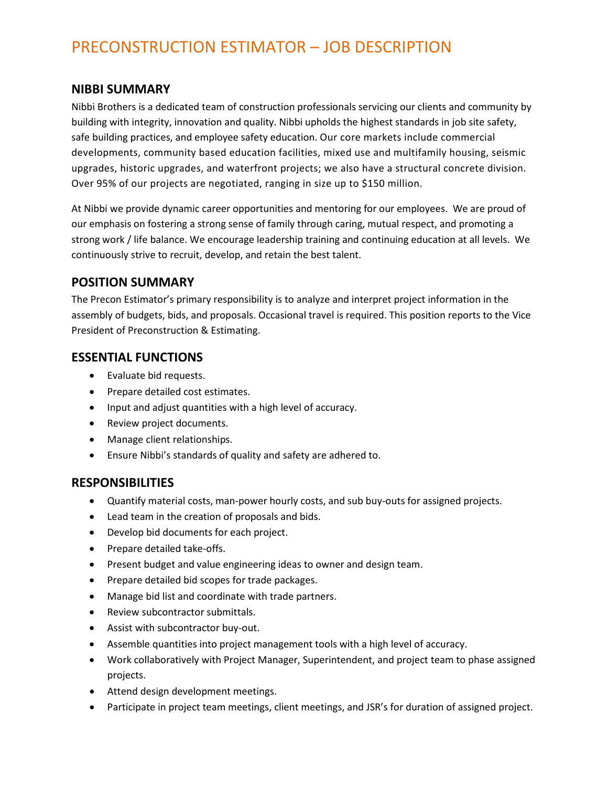# PRECONSTRUCTION ESTIMATOR – JOB DESCRIPTION

#### **NIBBI SUMMARY**

Nibbi Brothers is a dedicated team of construction professionals servicing our clients and community by building with integrity, innovation and quality. Nibbi upholds the highest standards in job site safety, safe building practices, and employee safety education. Our core markets include commercial developments, community based education facilities, mixed use and multifamily housing, seismic upgrades, historic upgrades, and waterfront projects; we also have a structural concrete division. Over 95% of our projects are negotiated, ranging in size up to \$150 million.

At Nibbi we provide dynamic career opportunities and mentoring for our employees. We are proud of our emphasis on fostering a strong sense of family through caring, mutual respect, and promoting a strong work / life balance. We encourage leadership training and continuing education at all levels. We continuously strive to recruit, develop, and retain the best talent.

#### **POSITION SUMMARY**

The Precon Estimator's primary responsibility is to analyze and interpret project information in the assembly of budgets, bids, and proposals. Occasional travel is required. This position reports to the Vice President of Preconstruction & Estimating.

## **ESSENTIAL FUNCTIONS**

- Evaluate bid requests.
- Prepare detailed cost estimates.
- Input and adjust quantities with a high level of accuracy.
- Review project documents.
- Manage client relationships.
- Ensure Nibbi's standards of quality and safety are adhered to.

#### **RESPONSIBILITIES**

- Quantify material costs, man-power hourly costs, and sub buy-outs for assigned projects.
- Lead team in the creation of proposals and bids.
- Develop bid documents for each project.
- Prepare detailed take-offs.
- Present budget and value engineering ideas to owner and design team.
- Prepare detailed bid scopes for trade packages.
- Manage bid list and coordinate with trade partners.
- Review subcontractor submittals.
- Assist with subcontractor buy-out.
- Assemble quantities into project management tools with a high level of accuracy.
- Work collaboratively with Project Manager, Superintendent, and project team to phase assigned projects.
- Attend design development meetings.
- Participate in project team meetings, client meetings, and JSR's for duration of assigned project.